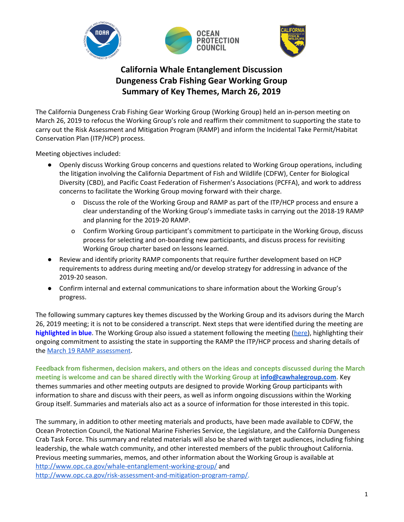

# **California Whale Entanglement Discussion Dungeness Crab Fishing Gear Working Group Summary of Key Themes, March 26, 2019**

 The California Dungeness Crab Fishing Gear Working Group (Working Group) held an in-person meeting on March 26, 2019 to refocus the Working Group's role and reaffirm their commitment to supporting the state to carry out the Risk Assessment and Mitigation Program (RAMP) and inform the Incidental Take Permit/Habitat Conservation Plan (ITP/HCP) process.

Meeting objectives included:

- ● Openly discuss Working Group concerns and questions related to Working Group operations, including the litigation involving the California Department of Fish and Wildlife (CDFW), Center for Biological Diversity (CBD), and Pacific Coast Federation of Fishermen's Associations (PCFFA), and work to address concerns to facilitate the Working Group moving forward with their charge.
	- o Discuss the role of the Working Group and RAMP as part of the ITP/HCP process and ensure a clear understanding of the Working Group's immediate tasks in carrying out the 2018-19 RAMP and planning for the 2019-20 RAMP.
	- o Confirm Working Group participant's commitment to participate in the Working Group, discuss process for selecting and on-boarding new participants, and discuss process for revisiting Working Group charter based on lessons learned.
- Review and identify priority RAMP components that require further development based on HCP requirements to address during meeting and/or develop strategy for addressing in advance of the 2019-20 season.
- ● Confirm internal and external communications to share information about the Working Group's progress.

**highlighted in blue**. The Working Group also issued a statement following the meeting (<u>[here](http://www.opc.ca.gov/webmaster/_media_library/2019/03/RAMP_WGStatement_March262019.pdf)</u>), highlighting their The following summary captures key themes discussed by the Working Group and its advisors during the March 26, 2019 meeting; it is not to be considered a transcript. Next steps that were identified during the meeting are ongoing commitment to assisting the state in supporting the RAMP the ITP/HCP process and sharing details of the March 19 RAMP assessment.

 **meeting is welcome and can be shared directly with the Working Group at [info@cawhalegroup.com.](mailto:info@cawhalegroup.com)** Key **Feedback from fishermen, decision makers, and others on the ideas and concepts discussed during the March**  themes summaries and other meeting outputs are designed to provide Working Group participants with information to share and discuss with their peers, as well as inform ongoing discussions within the Working Group itself. Summaries and materials also act as a source of information for those interested in this topic.

The summary, in addition to other meeting materials and products, have been made available to CDFW, the Ocean Protection Council, the National Marine Fisheries Service, the Legislature, and the California Dungeness Crab Task Force. This summary and related materials will also be shared with target audiences, including fishing leadership, the whale watch community, and other interested members of the public throughout California. Previous meeting summaries, memos, and other information about the Working Group is available at <http://www.opc.ca.gov/whale-entanglement-working-group/>and [http://www.opc.ca.gov/risk-assessment-and-mitigation-program-ramp/.](http://www.opc.ca.gov/risk-assessment-and-mitigation-program-ramp/)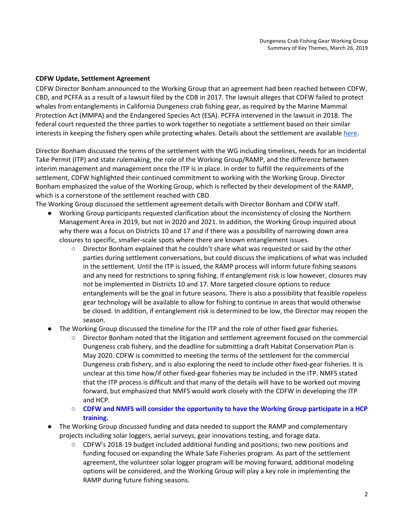### **CDFW Update, Settlement Agreement**

interests in keeping the fishery open while protecting whales. Details about the settlement are available <u>here</u>. CDFW Director Bonham announced to the Working Group that an agreement had been reached between CDFW, CBD, and PCFFA as a result of a lawsuit filed by the CDB in 2017. The lawsuit alleges that CDFW failed to protect whales from entanglements in California Dungeness crab fishing gear, as required by the Marine Mammal Protection Act (MMPA) and the Endangered Species Act (ESA). PCFFA intervened in the lawsuit in 2018. The federal court requested the three parties to work together to negotiate a settlement based on their similar

 Director Bonham discussed the terms of the settlement with the WG including timelines, needs for an Incidental Take Permit (ITP) and state rulemaking, the role of the Working Group/RAMP, and the difference between interim management and management once the ITP is in place. In order to fulfill the requirements of the settlement, CDFW highlighted their continued commitment to working with the Working Group. Director Bonham emphasized the value of the Working Group, which is reflected by their development of the RAMP, which is a cornerstone of the settlement reached with CBD.

The Working Group discussed the settlement agreement details with Director Bonham and CDFW staff.

- ● Working Group participants requested clarification about the inconsistency of closing the Northern Management Area in 2019, but not in 2020 and 2021. In addition, the Working Group inquired about why there was a focus on Districts 10 and 17 and if there was a possibility of narrowing down area closures to specific, smaller-scale spots where there are known entanglement issues.
	- Director Bonham explained that he couldn't share what was requested or said by the other parties during settlement conversations, but could discuss the implications of what was included in the settlement. Until the ITP is issued, the RAMP process will inform future fishing seasons and any need for restrictions to spring fishing. If entanglement risk is low however, closures may not be implemented in Districts 10 and 17. More targeted closure options to reduce entanglements will be the goal in future seasons. There is also a possibility that feasible ropeless gear technology will be available to allow for fishing to continue in areas that would otherwise be closed. In addition, if entanglement risk is determined to be low, the Director may reopen the season.
- **•** The Working Group discussed the timeline for the ITP and the role of other fixed gear fisheries.
	- ○ Director Bonham noted that the litigation and settlement agreement focused on the commercial Dungeness crab fishery, and the deadline for submitting a draft Habitat Conservation Plan is May 2020. CDFW is committed to meeting the terms of the settlement for the commercial Dungeness crab fishery, and is also exploring the need to include other fixed-gear fisheries. It is unclear at this time how/if other fixed-gear fisheries may be included in the ITP. NMFS stated that the ITP process is difficult and that many of the details will have to be worked out moving forward, but emphasized that NMFS would work closely with the CDFW in developing the ITP and HCP.
	- **○ CDFW and NMFS will consider the opportunity to have the Working Group participate in a HCP training.**
- **•** The Working Group discussed funding and data needed to support the RAMP and complementary projects including solar loggers, aerial surveys, gear innovations testing, and forage data.
	- CDFW's 2018-19 budget included additional funding and positions; two new positions and funding focused on expanding the Whale Safe Fisheries program. As part of the settlement agreement, the volunteer solar logger program will be moving forward, additional modeling options will be considered, and the Working Group will play a key role in implementing the RAMP during future fishing seasons.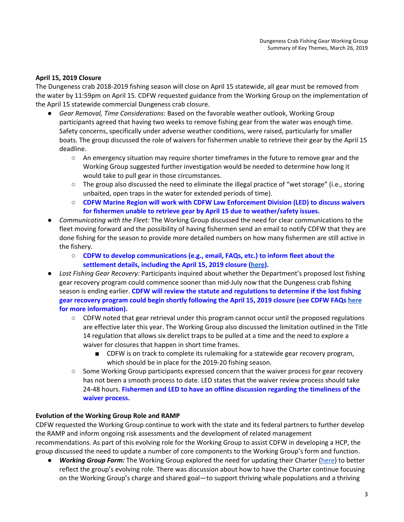## **April 15, 2019 Closure**

 The Dungeness crab 2018-2019 fishing season will close on April 15 statewide, all gear must be removed from the water by 11:59pm on April 15. CDFW requested guidance from the Working Group on the implementation of the April 15 statewide commercial Dungeness crab closure.

- ● *Gear Removal, Time Considerations:* Based on the favorable weather outlook, Working Group participants agreed that having two weeks to remove fishing gear from the water was enough time. Safety concerns, specifically under adverse weather conditions, were raised, particularly for smaller boats. The group discussed the role of waivers for fishermen unable to retrieve their gear by the April 15 deadline.
	- An emergency situation may require shorter timeframes in the future to remove gear and the Working Group suggested further investigation would be needed to determine how long it would take to pull gear in those circumstances.
	- The group also discussed the need to eliminate the illegal practice of "wet storage" (i.e., storing unbaited, open traps in the water for extended periods of time).
	- ○ **CDFW Marine Region will work with CDFW Law Enforcement Division (LED) to discuss waivers for fishermen unable to retrieve gear by April 15 due to weather/safety issues.**
- **•** Communicating with the Fleet: The Working Group discussed the need for clear communications to the fleet moving forward and the possibility of having fishermen send an email to notify CDFW that they are done fishing for the season to provide more detailed numbers on how many fishermen are still active in the fishery.
	- ○ **CDFW to develop communications (e.g., email, FAQs, etc.) to inform fleet about the settlement details, including the April 15, 2019 closure ([here](https://nrm.dfg.ca.gov/FileHandler.ashx?DocumentID=166274&inline&mc_cid=6982407a43&mc_eid=e27b678251)).**
- ● *Lost Fishing Gear Recovery:* Participants inquired about whether the Department's proposed lost fishing gear recovery program could commence sooner than mid-July now that the Dungeness crab fishing season is ending earlier. **CDFW will review the statute and regulations to determine if the lost fishing gear recovery program could begin shortly following the April 15, 2019 closure (see CDFW FAQs [here](https://nrm.dfg.ca.gov/FileHandler.ashx?DocumentID=166274&inline&mc_cid=6982407a43&mc_eid=e27b678251) for more information).** 
	- CDFW noted that gear retrieval under this program cannot occur until the proposed regulations are effective later this year. The Working Group also discussed the limitation outlined in the Title 14 regulation that allows six derelict traps to be pulled at a time and the need to explore a waiver for closures that happen in short time frames.
		- CDFW is on track to complete its rulemaking for a statewide gear recovery program, which should be in place for the 2019-20 fishing season.
	- ○ Some Working Group participants expressed concern that the waiver process for gear recovery has not been a smooth process to date. LED states that the waiver review process should take 24-48 hours. **Fishermen and LED to have an offline discussion regarding the timeliness of the waiver process.**

## **Evolution of the Working Group Role and RAMP**

 CDFW requested the Working Group continue to work with the state and its federal partners to further develop the RAMP and inform ongoing risk assessments and the development of related management recommendations. As part of this evolving role for the Working Group to assist CDFW in developing a HCP, the group discussed the need to update a number of core components to the Working Group's form and function.

● **Working Group Form:** The Working Group explored the need for updating their Charter ([here](http://www.opc.ca.gov/webmaster/_media_library/2016/08/Whales_WorkingGroup_Charter_Updated_May2017.pdf)) to better reflect the group's evolving role. There was discussion about how to have the Charter continue focusing on the Working Group's charge and shared goal—to support thriving whale populations and a thriving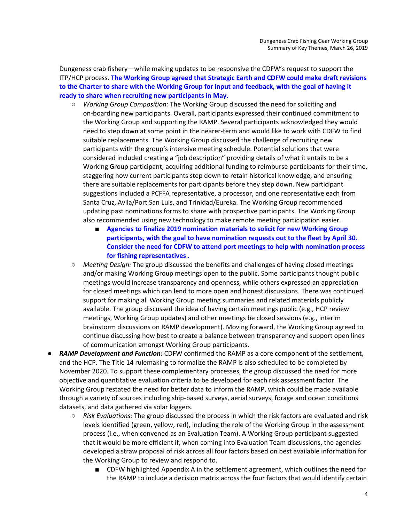Dungeness crab fishery—while making updates to be responsive the CDFW's request to support the ITP/HCP process. **The Working Group agreed that Strategic Earth and CDFW could make draft revisions to the Charter to share with the Working Group for input and feedback, with the goal of having it ready to share when recruiting new participants in May.** 

- ○ *Working Group Composition:* The Working Group discussed the need for soliciting and on-boarding new participants. Overall, participants expressed their continued commitment to the Working Group and supporting the RAMP. Several participants acknowledged they would need to step down at some point in the nearer-term and would like to work with CDFW to find suitable replacements. The Working Group discussed the challenge of recruiting new participants with the group's intensive meeting schedule. Potential solutions that were considered included creating a "job description" providing details of what it entails to be a Working Group participant, acquiring additional funding to reimburse participants for their time, staggering how current participants step down to retain historical knowledge, and ensuring there are suitable replacements for participants before they step down. New participant suggestions included a PCFFA representative, a processor, and one representative each from Santa Cruz, Avila/Port San Luis, and Trinidad/Eureka. The Working Group recommended updating past nominations forms to share with prospective participants. The Working Group also recommended using new technology to make remote meeting participation easier.
	- Agencies to finalize 2019 nomination materials to solicit for new Working Group  **participants, with the goal to have nomination requests out to the fleet by April 30. Consider the need for CDFW to attend port meetings to help with nomination process for fishing representatives .**
- ○ *Meeting Design:* The group discussed the benefits and challenges of having closed meetings and/or making Working Group meetings open to the public. Some participants thought public meetings would increase transparency and openness, while others expressed an appreciation for closed meetings which can lend to more open and honest discussions. There was continued support for making all Working Group meeting summaries and related materials publicly available. The group discussed the idea of having certain meetings public (e.g., HCP review meetings, Working Group updates) and other meetings be closed sessions (e.g., interim brainstorm discussions on RAMP development). Moving forward, the Working Group agreed to continue discussing how best to create a balance between transparency and support open lines of communication amongst Working Group participants.
- **RAMP Development and Function:** CDFW confirmed the RAMP as a core component of the settlement, and the HCP. The Title 14 rulemaking to formalize the RAMP is also scheduled to be completed by November 2020. To support these complementary processes, the group discussed the need for more objective and quantitative evaluation criteria to be developed for each risk assessment factor. The Working Group restated the need for better data to inform the RAMP, which could be made available through a variety of sources including ship-based surveys, aerial surveys, forage and ocean conditions datasets, and data gathered via solar loggers.
	- ○ *Risk Evaluations:* The group discussed the process in which the risk factors are evaluated and risk levels identified (green, yellow, red), including the role of the Working Group in the assessment process (i.e., when convened as an Evaluation Team). A Working Group participant suggested that it would be more efficient if, when coming into Evaluation Team discussions, the agencies developed a straw proposal of risk across all four factors based on best available information for the Working Group to review and respond to.
		- CDFW highlighted Appendix A in the settlement agreement, which outlines the need for the RAMP to include a decision matrix across the four factors that would identify certain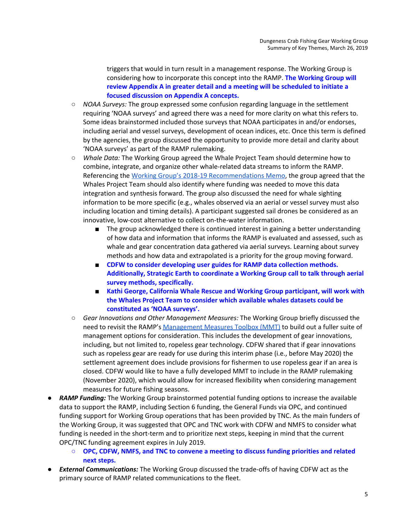triggers that would in turn result in a management response. The Working Group is considering how to incorporate this concept into the RAMP. **The Working Group will review Appendix A in greater detail and a meeting will be scheduled to initiate a focused discussion on Appendix A concepts.** 

- *NOAA Surveys:* The group expressed some confusion regarding language in the settlement requiring 'NOAA surveys' and agreed there was a need for more clarity on what this refers to. Some ideas brainstormed included those surveys that NOAA participates in and/or endorses, including aerial and vessel surveys, development of ocean indices, etc. Once this term is defined by the agencies, the group discussed the opportunity to provide more detail and clarity about 'NOAA surveys' as part of the RAMP rulemaking.
- *Whale Data:* The Working Group agreed the Whale Project Team should determine how to combine, integrate, and organize other whale-related data streams to inform the RAMP. Referencing the [Working Group's 2018-19 Recommendations Memo](http://www.opc.ca.gov/webmaster/_media_library/2018/10/Whales_WorkingGroupRecommendationsMemo_October2018_FINAL.pdf), the group agreed that the Whales Project Team should also identify where funding was needed to move this data integration and synthesis forward. The group also discussed the need for whale sighting information to be more specific (e.g., whales observed via an aerial or vessel survey must also including location and timing details). A participant suggested sail drones be considered as an innovative, low-cost alternative to collect on-the-water information.
	- The group acknowledged there is continued interest in gaining a better understanding of how data and information that informs the RAMP is evaluated and assessed, such as whale and gear concentration data gathered via aerial surveys. Learning about survey methods and how data and extrapolated is a priority for the group moving forward.
	- CDFW to consider developing user guides for RAMP data collection methods.  **Additionally, Strategic Earth to coordinate a Working Group call to talk through aerial survey methods, specifically.**
	- Kathi George, California Whale Rescue and Working Group participant, will work with  **the Whales Project Team to consider which available whales datasets could be constituted as 'NOAA surveys'.**
- ○ *Gear Innovations and Other Management Measures:* The Working Group briefly discussed the need to revisit the RAMP's <u>Management Measures Toolbox (MMT)</u> to build out a fuller suite of management options for consideration. This includes the development of gear innovations, including, but not limited to, ropeless gear technology. CDFW shared that if gear innovations such as ropeless gear are ready for use during this interim phase (i.e., before May 2020) the settlement agreement does include provisions for fishermen to use ropeless gear if an area is closed. CDFW would like to have a fully developed MMT to include in the RAMP rulemaking (November 2020), which would allow for increased flexibility when considering management measures for future fishing seasons.
- **RAMP Funding:** The Working Group brainstormed potential funding options to increase the available data to support the RAMP, including Section 6 funding, the General Funds via OPC, and continued funding support for Working Group operations that has been provided by TNC. As the main funders of the Working Group, it was suggested that OPC and TNC work with CDFW and NMFS to consider what OPC/TNC funding agreement expires in July 2019. funding is needed in the short-term and to prioritize next steps, keeping in mind that the current
	- **○ OPC, CDFW, NMFS, and TNC to convene a meeting to discuss funding priorities and related next steps.**
- *External Communications:* The Working Group discussed the trade-offs of having CDFW act as the primary source of RAMP related communications to the fleet.